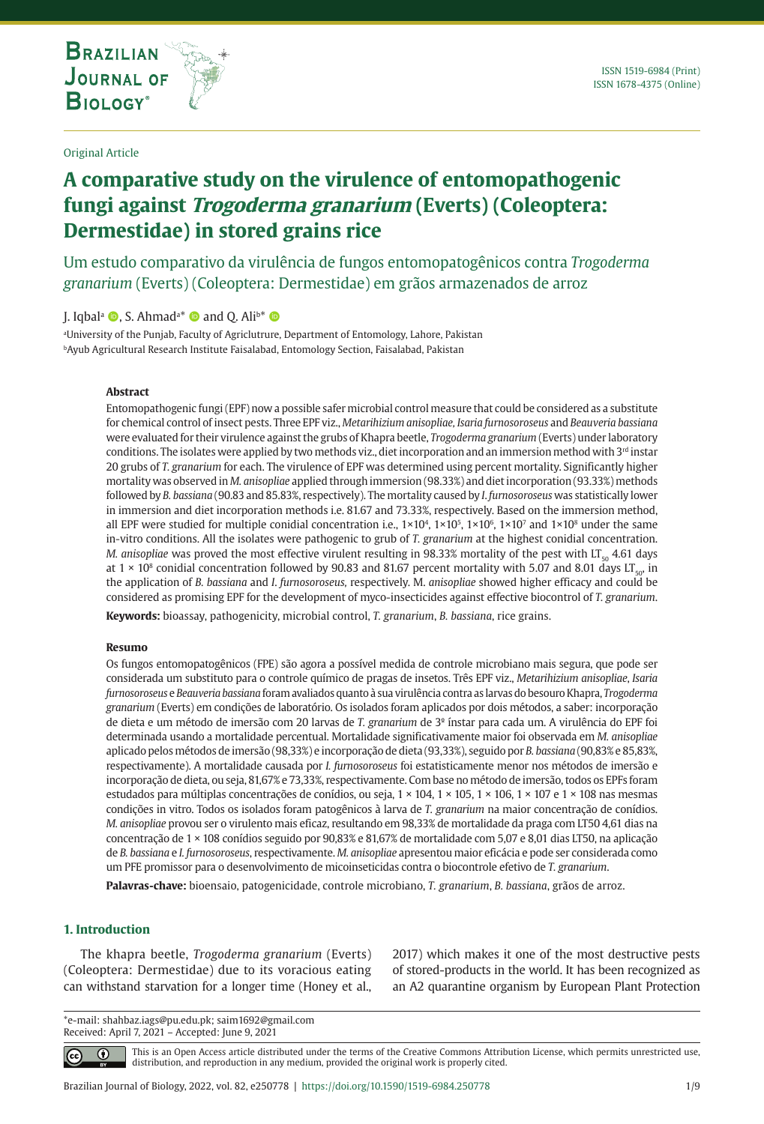# **A comparative study on the virulence of entomopathogenic fungi against Trogoderma granarium (Everts) (Coleoptera: Dermestidae) in stored grains rice**

Um estudo comparativo da virulência de fungos entomopatogênicos contra *Trogoderma granarium* (Everts) (Coleoptera: Dermestidae) em grãos armazenados de arroz

J. Iqbal<sup>a</sup> (D, S. Ahmad<sup>a\*</sup> (D and Q. Ali<sup>b\*</sup> (D

**THE INTERNATIONAL JOURNAL ON GLOBAL BIODIVERSITY AND ENVIRONMENT**

a University of the Punjab, Faculty of Agriclutrure, Department of Entomology, Lahore, Pakistan bAyub Agricultural Research Institute Faisalabad, Entomology Section, Faisalabad, Pakistan

#### **Abstract**

Entomopathogenic fungi (EPF) now a possible safer microbial control measure that could be considered as a substitute for chemical control of insect pests. Three EPF viz., *Metarihizium anisopliae, Isaria furnosoroseus* and *Beauveria bassiana* were evaluated for their virulence against the grubs of Khapra beetle, *Trogoderma granarium* (Everts) under laboratory conditions. The isolates were applied by two methods viz., diet incorporation and an immersion method with 3rd instar 20 grubs of *T. granarium* for each. The virulence of EPF was determined using percent mortality. Significantly higher mortality was observed in *M. anisopliae* applied through immersion (98.33%) and diet incorporation (93.33%) methods followed by *B. bassiana* (90.83 and 85.83%, respectively). The mortality caused by *I*. *furnosoroseus* was statistically lower in immersion and diet incorporation methods i.e. 81.67 and 73.33%, respectively. Based on the immersion method, all EPF were studied for multiple conidial concentration i.e.,  $1\times10^4$ ,  $1\times10^5$ ,  $1\times10^6$ ,  $1\times10^7$  and  $1\times10^8$  under the same in-vitro conditions. All the isolates were pathogenic to grub of *T. granarium* at the highest conidial concentration. *M. anisopliae* was proved the most effective virulent resulting in 98.33% mortality of the pest with  $LT_{50}$  4.61 days at 1 × 10<sup>8</sup> conidial concentration followed by 90.83 and 81.67 percent mortality with 5.07 and 8.01 days LT<sub>50</sub>, in the application of *B. bassiana* and *I*. *furnosoroseus,* respectively. M. *anisopliae* showed higher efficacy and could be considered as promising EPF for the development of myco-insecticides against effective biocontrol of *T. granarium*.

**Keywords:** bioassay, pathogenicity, microbial control, *T. granarium*, *B. bassiana*, rice grains.

#### **Resumo**

Os fungos entomopatogênicos (FPE) são agora a possível medida de controle microbiano mais segura, que pode ser considerada um substituto para o controle químico de pragas de insetos. Três EPF viz., *Metarihizium anisopliae*, *Isaria furnosoroseus* e *Beauveria bassiana* foram avaliados quanto à sua virulência contra as larvas do besouro Khapra, *Trogoderma granarium* (Everts) em condições de laboratório. Os isolados foram aplicados por dois métodos, a saber: incorporação de dieta e um método de imersão com 20 larvas de *T. granarium* de 3º ínstar para cada um. A virulência do EPF foi determinada usando a mortalidade percentual. Mortalidade significativamente maior foi observada em *M. anisopliae* aplicado pelos métodos de imersão (98,33%) e incorporação de dieta (93,33%), seguido por *B. bassiana* (90,83% e 85,83%, respectivamente). A mortalidade causada por *I. furnosoroseus* foi estatisticamente menor nos métodos de imersão e incorporação de dieta, ou seja, 81,67% e 73,33%, respectivamente. Com base no método de imersão, todos os EPFs foram estudados para múltiplas concentrações de conídios, ou seja, 1 × 104, 1 × 105, 1 × 106, 1 × 107 e 1 × 108 nas mesmas condições in vitro. Todos os isolados foram patogênicos à larva de *T. granarium* na maior concentração de conídios. *M. anisopliae* provou ser o virulento mais eficaz, resultando em 98,33% de mortalidade da praga com LT50 4,61 dias na concentração de 1 × 108 conídios seguido por 90,83% e 81,67% de mortalidade com 5,07 e 8,01 dias LT50, na aplicação de *B. bassiana* e *I. furnosoroseus*, respectivamente. *M. anisopliae* apresentou maior eficácia e pode ser considerada como um PFE promissor para o desenvolvimento de micoinseticidas contra o biocontrole efetivo de *T. granarium*.

**Palavras-chave:** bioensaio, patogenicidade, controle microbiano, *T. granarium*, *B. bassiana*, grãos de arroz.

## **1. Introduction**

 $|cc|$ 

The khapra beetle, *Trogoderma granarium* (Everts) (Coleoptera: Dermestidae) due to its voracious eating can withstand starvation for a longer time (Honey et al.,

2017) which makes it one of the most destructive pests of stored-products in the world. It has been recognized as an A2 quarantine organism by European Plant Protection

\*e-mail: shahbaz.iags@pu.edu.pk; saim1692@gmail.com Received: April 7, 2021 – Accepted: June 9, 2021

> This is an Open Access article distributed under the terms of the Creative Commons Attribution License, which permits unrestricted use, ⋒ distribution, and reproduction in any medium, provided the original work is properly cited.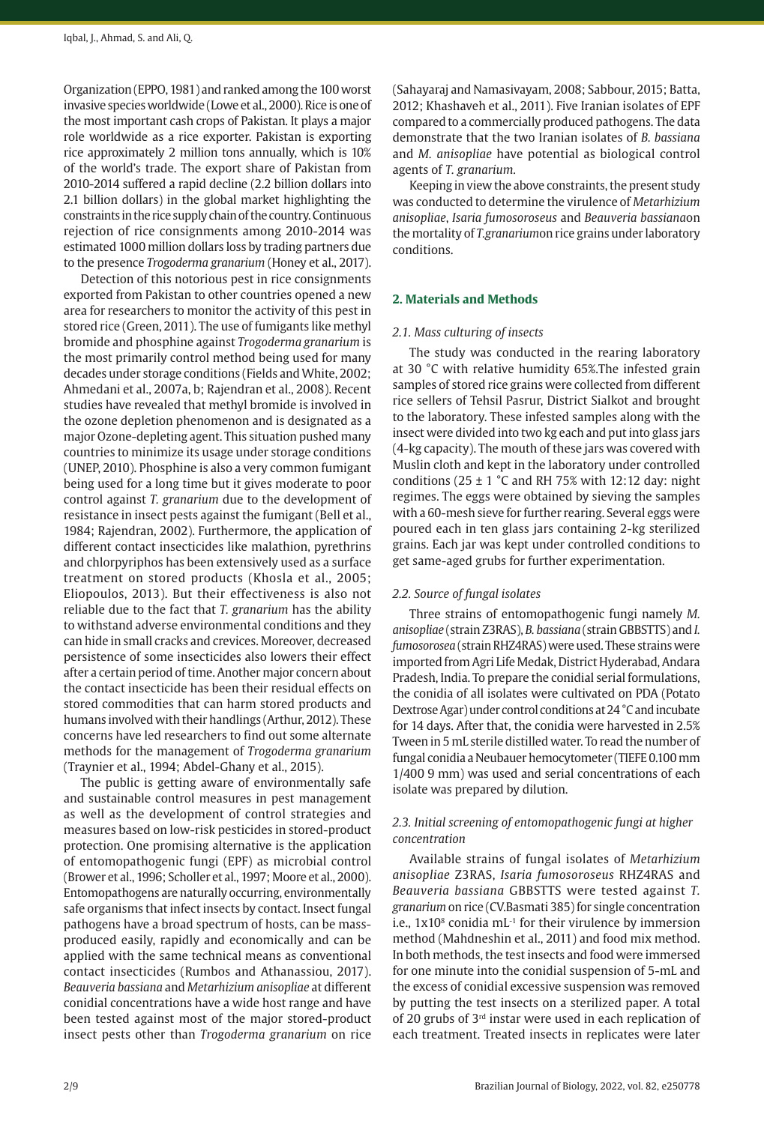Organization (EPPO, 1981) and ranked among the 100 worst invasive species worldwide (Lowe et al., 2000). Rice is one of the most important cash crops of Pakistan. It plays a major role worldwide as a rice exporter. Pakistan is exporting rice approximately 2 million tons annually, which is 10% of the world's trade. The export share of Pakistan from 2010-2014 suffered a rapid decline (2.2 billion dollars into 2.1 billion dollars) in the global market highlighting the constraints in the rice supply chain of the country. Continuous rejection of rice consignments among 2010-2014 was estimated 1000 million dollars loss by trading partners due to the presence *Trogoderma granarium* (Honey et al., 2017).

Detection of this notorious pest in rice consignments exported from Pakistan to other countries opened a new area for researchers to monitor the activity of this pest in stored rice (Green, 2011). The use of fumigants like methyl bromide and phosphine against *Trogoderma granarium* is the most primarily control method being used for many decades under storage conditions (Fields and White, 2002; Ahmedani et al., 2007a, b; Rajendran et al., 2008). Recent studies have revealed that methyl bromide is involved in the ozone depletion phenomenon and is designated as a major Ozone-depleting agent. This situation pushed many countries to minimize its usage under storage conditions (UNEP, 2010). Phosphine is also a very common fumigant being used for a long time but it gives moderate to poor control against *T. granarium* due to the development of resistance in insect pests against the fumigant (Bell et al., 1984; Rajendran, 2002). Furthermore, the application of different contact insecticides like malathion, pyrethrins and chlorpyriphos has been extensively used as a surface treatment on stored products (Khosla et al., 2005; Eliopoulos, 2013). But their effectiveness is also not reliable due to the fact that *T. granarium* has the ability to withstand adverse environmental conditions and they can hide in small cracks and crevices. Moreover, decreased persistence of some insecticides also lowers their effect after a certain period of time. Another major concern about the contact insecticide has been their residual effects on stored commodities that can harm stored products and humans involved with their handlings (Arthur, 2012). These concerns have led researchers to find out some alternate methods for the management of *Trogoderma granarium* (Traynier et al., 1994; Abdel-Ghany et al., 2015).

The public is getting aware of environmentally safe and sustainable control measures in pest management as well as the development of control strategies and measures based on low-risk pesticides in stored-product protection. One promising alternative is the application of entomopathogenic fungi (EPF) as microbial control (Brower et al., 1996; Scholler et al., 1997; Moore et al., 2000). Entomopathogens are naturally occurring, environmentally safe organisms that infect insects by contact. Insect fungal pathogens have a broad spectrum of hosts, can be massproduced easily, rapidly and economically and can be applied with the same technical means as conventional contact insecticides (Rumbos and Athanassiou, 2017). *Beauveria bassiana* and *Metarhizium anisopliae* at different conidial concentrations have a wide host range and have been tested against most of the major stored-product insect pests other than *Trogoderma granarium* on rice

(Sahayaraj and Namasivayam, 2008; Sabbour, 2015; Batta, 2012; Khashaveh et al., 2011). Five Iranian isolates of EPF compared to a commercially produced pathogens. The data demonstrate that the two Iranian isolates of *B. bassiana* and *M. anisopliae* have potential as biological control agents of *T. granarium.*

Keeping in view the above constraints, the present study was conducted to determine the virulence of *Metarhizium anisopliae*, *Isaria fumosoroseus* and *Beauveria bassiana*on the mortality of *T.granarium*on rice grains under laboratory conditions.

# **2. Materials and Methods**

## *2.1. Mass culturing of insects*

The study was conducted in the rearing laboratory at 30 °C with relative humidity 65%.The infested grain samples of stored rice grains were collected from different rice sellers of Tehsil Pasrur, District Sialkot and brought to the laboratory. These infested samples along with the insect were divided into two kg each and put into glass jars (4-kg capacity). The mouth of these jars was covered with Muslin cloth and kept in the laboratory under controlled conditions (25  $\pm$  1 °C and RH 75% with 12:12 day: night regimes. The eggs were obtained by sieving the samples with a 60-mesh sieve for further rearing. Several eggs were poured each in ten glass jars containing 2-kg sterilized grains. Each jar was kept under controlled conditions to get same-aged grubs for further experimentation.

#### *2.2. Source of fungal isolates*

Three strains of entomopathogenic fungi namely *M. anisopliae* (strain Z3RAS), *B. bassiana* (strain GBBSTTS) and *I. fumosorosea* (strain RHZ4RAS) were used. These strains were imported from Agri Life Medak, District Hyderabad, Andara Pradesh, India. To prepare the conidial serial formulations, the conidia of all isolates were cultivated on PDA (Potato Dextrose Agar) under control conditions at 24 °C and incubate for 14 days. After that, the conidia were harvested in 2.5% Tween in 5 mL sterile distilled water. To read the number of fungal conidia a Neubauer hemocytometer (TIEFE 0.100 mm 1/400 9 mm) was used and serial concentrations of each isolate was prepared by dilution.

# *2.3. Initial screening of entomopathogenic fungi at higher concentration*

Available strains of fungal isolates of *Metarhizium anisopliae* Z3RAS, *Isaria fumosoroseus* RHZ4RAS and *Beauveria bassiana* GBBSTTS were tested against *T. granarium* on rice (CV.Basmati 385) for single concentration i.e.,  $1x10<sup>8</sup>$  conidia mL $<sup>-1</sup>$  for their virulence by immersion</sup> method (Mahdneshin et al., 2011) and food mix method. In both methods, the test insects and food were immersed for one minute into the conidial suspension of 5-mL and the excess of conidial excessive suspension was removed by putting the test insects on a sterilized paper. A total of 20 grubs of 3rd instar were used in each replication of each treatment. Treated insects in replicates were later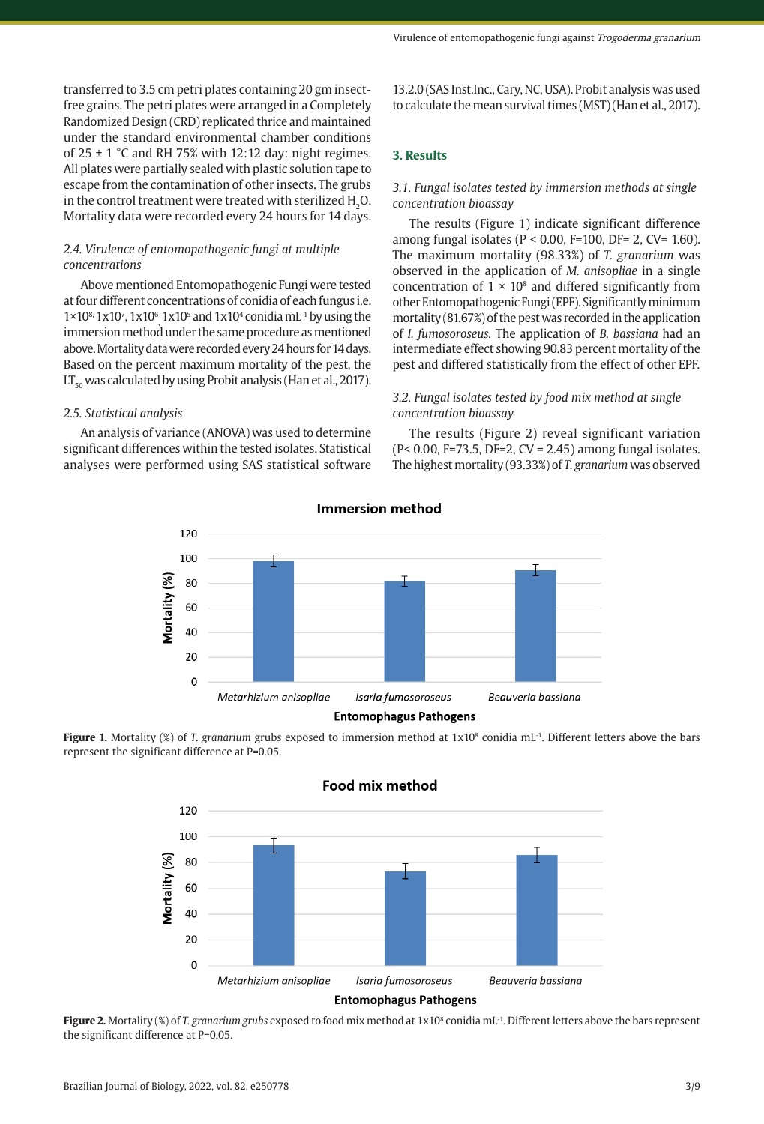Virulence of entomopathogenic fungi against Trogoderma granarium

transferred to 3.5 cm petri plates containing 20 gm insectfree grains. The petri plates were arranged in a Completely Randomized Design (CRD) replicated thrice and maintained under the standard environmental chamber conditions of  $25 \pm 1$  °C and RH 75% with 12:12 day: night regimes. All plates were partially sealed with plastic solution tape to escape from the contamination of other insects. The grubs in the control treatment were treated with sterilized H<sub>2</sub>O. Mortality data were recorded every 24 hours for 14 days.

# *2.4. Virulence of entomopathogenic fungi at multiple concentrations*

Above mentioned Entomopathogenic Fungi were tested at four different concentrations of conidia of each fungus i.e.  $1\times10^{8}$  1x10<sup>7</sup>, 1x10<sup>5</sup> and 1x10<sup>4</sup> conidia mL<sup>-1</sup> by using the immersion method under the same procedure as mentioned above. Mortality data were recorded every 24 hours for 14 days. Based on the percent maximum mortality of the pest, the  $LT_{50}$  was calculated by using Probit analysis (Han et al., 2017).

### *2.5. Statistical analysis*

An analysis of variance (ANOVA) was used to determine significant differences within the tested isolates. Statistical analyses were performed using SAS statistical software 13.2.0 (SAS Inst.Inc., Cary, NC, USA). Probit analysis was used to calculate the mean survival times (MST) (Han et al., 2017).

# **3. Results**

# *3.1. Fungal isolates tested by immersion methods at single concentration bioassay*

The results (Figure 1) indicate significant difference among fungal isolates ( $P < 0.00$ ,  $F=100$ ,  $DF= 2$ ,  $CV= 1.60$ ). The maximum mortality (98.33%) of *T. granarium* was observed in the application of *M. anisopliae* in a single concentration of  $1 \times 10^8$  and differed significantly from other Entomopathogenic Fungi (EPF). Significantly minimum mortality (81.67%) of the pest was recorded in the application of *I. fumosoroseus.* The application of *B. bassiana* had an intermediate effect showing 90.83 percent mortality of the pest and differed statistically from the effect of other EPF.

# *3.2. Fungal isolates tested by food mix method at single concentration bioassay*

The results (Figure 2) reveal significant variation (P< 0.00, F=73.5, DF=2, CV = 2.45) among fungal isolates. The highest mortality (93.33%) of *T. granarium* was observed



#### Immersion method

**Figure 1.** Mortality (%) of *T. granarium* grubs exposed to immersion method at 1x10<sup>8</sup> conidia mL<sup>-1</sup>. Different letters above the bars represent the significant difference at P=0.05.

Food mix method

120 100 Mortality (%) 80 60 40 20  $\sqrt{2}$ Metarhizium anisopliae Isaria fumosoroseus Beauveria bassiana **Entomophagus Pathogens** 

**Figure 2.** Mortality (%) of *T. granarium grubs* exposed to food mix method at 1x10<sup>8</sup> conidia mL<sup>-1</sup>. Different letters above the bars represent the significant difference at P=0.05.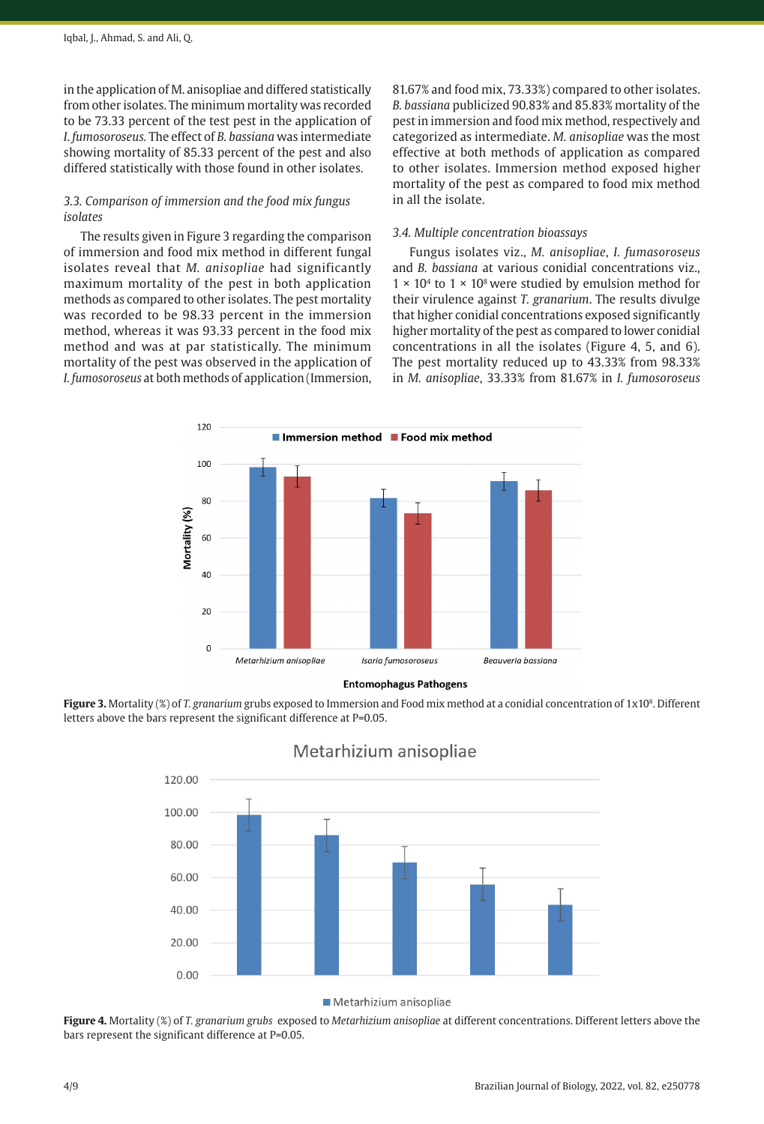in the application of M. anisopliae and differed statistically from other isolates. The minimum mortality was recorded to be 73.33 percent of the test pest in the application of *I*. *fumosoroseus.* The effect of *B. bassiana* was intermediate showing mortality of 85.33 percent of the pest and also differed statistically with those found in other isolates.

# *3.3. Comparison of immersion and the food mix fungus isolates*

The results given in Figure 3 regarding the comparison of immersion and food mix method in different fungal isolates reveal that *M. anisopliae* had significantly maximum mortality of the pest in both application methods as compared to other isolates. The pest mortality was recorded to be 98.33 percent in the immersion method, whereas it was 93.33 percent in the food mix method and was at par statistically. The minimum mortality of the pest was observed in the application of *I. fumosoroseus* at both methods of application (Immersion, 81.67% and food mix, 73.33%) compared to other isolates. *B. bassiana* publicized 90.83% and 85.83% mortality of the pest in immersion and food mix method, respectively and categorized as intermediate. *M. anisopliae* was the most effective at both methods of application as compared to other isolates. Immersion method exposed higher mortality of the pest as compared to food mix method in all the isolate.

#### *3.4. Multiple concentration bioassays*

Fungus isolates viz., *M. anisopliae*, *I. fumasoroseus* and *B. bassiana* at various conidial concentrations viz.,  $1 \times 10^4$  to  $1 \times 10^8$  were studied by emulsion method for their virulence against *T. granarium*. The results divulge that higher conidial concentrations exposed significantly higher mortality of the pest as compared to lower conidial concentrations in all the isolates (Figure 4, 5, and 6). The pest mortality reduced up to 43.33% from 98.33% in *M. anisopliae*, 33.33% from 81.67% in *I. fumosoroseus*



**Entomophagus Pathogens** 

Figure 3. Mortality (%) of *T. granarium* grubs exposed to Immersion and Food mix method at a conidial concentration of 1x10<sup>8</sup>. Different letters above the bars represent the significant difference at P=0.05.



# Metarhizium anisopliae

**Figure 4.** Mortality (%) of *T. granarium grubs* exposed to *Metarhizium anisopliae* at different concentrations. Different letters above the bars represent the significant difference at P=0.05.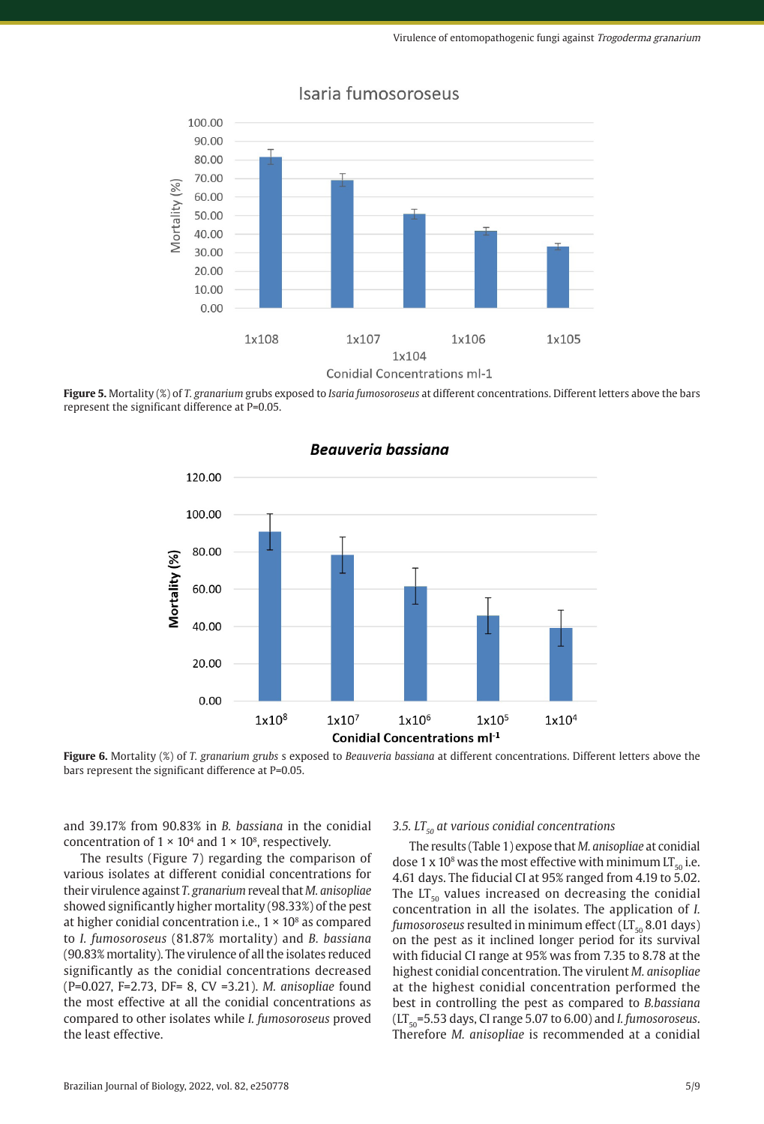

# Isaria fumosoroseus





**Figure 6.** Mortality (%) of *T. granarium grubs* s exposed to *Beauveria bassiana* at different concentrations. Different letters above the

bars represent the significant difference at P=0.05.

and 39.17% from 90.83% in *B. bassiana* in the conidial concentration of  $1 \times 10^4$  and  $1 \times 10^8$ , respectively.

The results (Figure 7) regarding the comparison of various isolates at different conidial concentrations for their virulence against *T. granarium* reveal that *M. anisopliae* showed significantly higher mortality (98.33%) of the pest at higher conidial concentration i.e.,  $1 \times 10^8$  as compared to *I. fumosoroseus* (81.87% mortality) and *B. bassiana* (90.83% mortality). The virulence of all the isolates reduced significantly as the conidial concentrations decreased (P=0.027, F=2.73, DF= 8, CV =3.21). *M. anisopliae* found the most effective at all the conidial concentrations as compared to other isolates while *I. fumosoroseus* proved the least effective.

#### 3.5. LT<sub>50</sub> at various conidial concentrations

The results (Table 1) expose that *M. anisopliae* at conidial dose 1 x 10<sup>8</sup> was the most effective with minimum  $LT_{50}$  i.e. 4.61 days. The fiducial CI at 95% ranged from 4.19 to 5.02. The  $LT_{50}$  values increased on decreasing the conidial concentration in all the isolates. The application of *I.*   $fumosoroseus$  resulted in minimum effect ( $LT_{50}$  8.01 days) on the pest as it inclined longer period for its survival with fiducial CI range at 95% was from 7.35 to 8.78 at the highest conidial concentration. The virulent *M. anisopliae* at the highest conidial concentration performed the best in controlling the pest as compared to *B.bassiana*  $(LT_{50} = 5.53$  days, CI range 5.07 to 6.00) and *I. fumosoroseus*. Therefore *M. anisopliae* is recommended at a conidial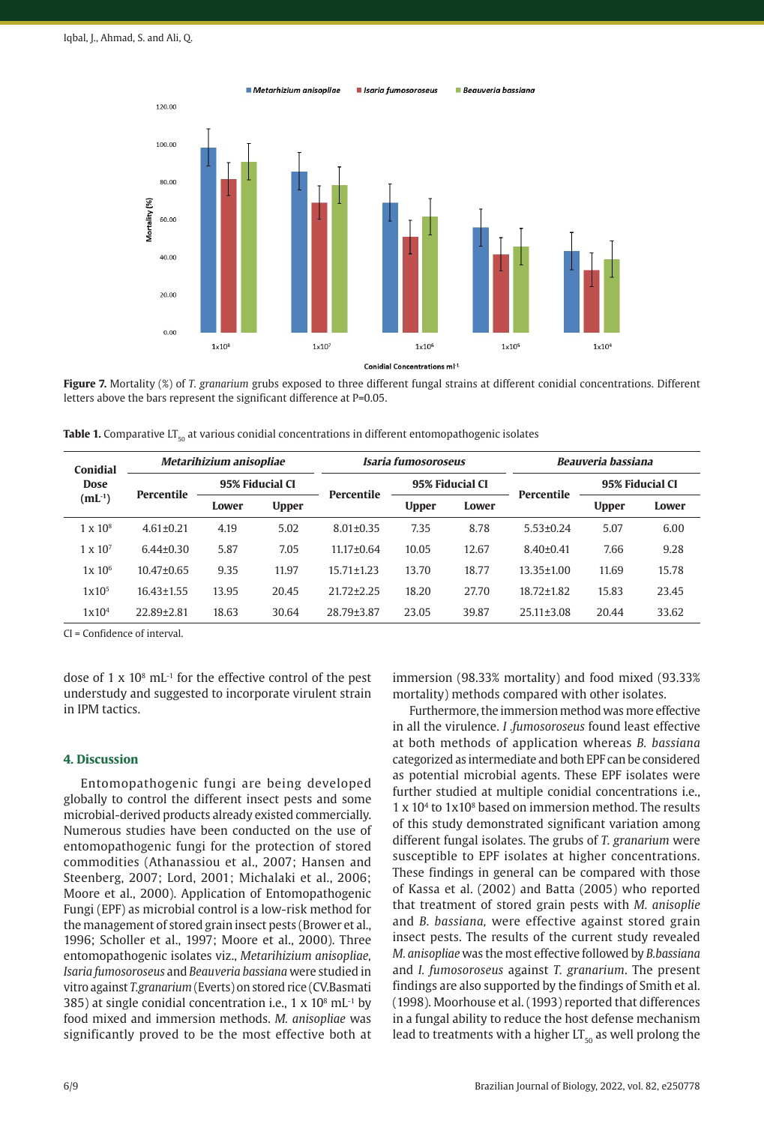

**Figure 7.** Mortality (%) of *T. granarium* grubs exposed to three different fungal strains at different conidial concentrations. Different letters above the bars represent the significant difference at P=0.05.

**Table 1.** Comparative LT<sub>50</sub> at various conidial concentrations in different entomopathogenic isolates

| <b>Conidial</b><br><b>Dose</b><br>$(mL^{-1})$ | Metarihizium anisopliae |                 |              | Isaria fumosoroseus |                 |       | <b>Beauveria bassiana</b> |                 |       |
|-----------------------------------------------|-------------------------|-----------------|--------------|---------------------|-----------------|-------|---------------------------|-----------------|-------|
|                                               | <b>Percentile</b>       | 95% Fiducial CI |              |                     | 95% Fiducial CI |       |                           | 95% Fiducial CI |       |
|                                               |                         | Lower           | <b>Upper</b> | <b>Percentile</b>   | <b>Upper</b>    | Lower | <b>Percentile</b>         | <b>Upper</b>    | Lower |
| $1 \times 10^8$                               | $4.61 \pm 0.21$         | 4.19            | 5.02         | $8.01 \pm 0.35$     | 7.35            | 8.78  | $5.53 \pm 0.24$           | 5.07            | 6.00  |
| $1 \times 10^{7}$                             | $6.44 \pm 0.30$         | 5.87            | 7.05         | $11.17 \pm 0.64$    | 10.05           | 12.67 | $8.40 \pm 0.41$           | 7.66            | 9.28  |
| $1x\ 10^6$                                    | $10.47 \pm 0.65$        | 9.35            | 11.97        | $15.71 \pm 1.23$    | 13.70           | 18.77 | $13.35 \pm 1.00$          | 11.69           | 15.78 |
| $1x10^5$                                      | $16.43 \pm 1.55$        | 13.95           | 20.45        | $21.72 \pm 2.25$    | 18.20           | 27.70 | $18.72 \pm 1.82$          | 15.83           | 23.45 |
| $1x10^4$                                      | $22.89 + 2.81$          | 18.63           | 30.64        | 28.79+3.87          | 23.05           | 39.87 | $25.11 \pm 3.08$          | 20.44           | 33.62 |

CI = Confidence of interval.

dose of  $1 \times 10^8$  mL<sup>-1</sup> for the effective control of the pest understudy and suggested to incorporate virulent strain in IPM tactics.

#### **4. Discussion**

Entomopathogenic fungi are being developed globally to control the different insect pests and some microbial-derived products already existed commercially. Numerous studies have been conducted on the use of entomopathogenic fungi for the protection of stored commodities (Athanassiou et al., 2007; Hansen and Steenberg, 2007; Lord, 2001; Michalaki et al., 2006; Moore et al., 2000). Application of Entomopathogenic Fungi (EPF) as microbial control is a low-risk method for the management of stored grain insect pests (Brower et al., 1996; Scholler et al., 1997; Moore et al., 2000). Three entomopathogenic isolates viz., *Metarihizium anisopliae, Isaria fumosoroseus* and *Beauveria bassiana* were studied in vitro against *T.granarium* (Everts) on stored rice (CV.Basmati 385) at single conidial concentration i.e.,  $1 \times 10^8$  mL<sup>-1</sup> by food mixed and immersion methods. *M. anisopliae* was significantly proved to be the most effective both at

immersion (98.33% mortality) and food mixed (93.33% mortality) methods compared with other isolates.

Furthermore, the immersion method was more effective in all the virulence. *I .fumosoroseus* found least effective at both methods of application whereas *B. bassiana* categorized as intermediate and both EPF can be considered as potential microbial agents. These EPF isolates were further studied at multiple conidial concentrations i.e., 1 x 104 to 1x108 based on immersion method. The results of this study demonstrated significant variation among different fungal isolates. The grubs of *T. granarium* were susceptible to EPF isolates at higher concentrations. These findings in general can be compared with those of Kassa et al. (2002) and Batta (2005) who reported that treatment of stored grain pests with *M. anisoplie* and *B. bassiana,* were effective against stored grain insect pests. The results of the current study revealed *M. anisopliae* was the most effective followed by *B.bassiana* and *I. fumosoroseus* against *T. granarium*. The present findings are also supported by the findings of Smith et al. (1998). Moorhouse et al. (1993) reported that differences in a fungal ability to reduce the host defense mechanism lead to treatments with a higher  $LT_{50}$  as well prolong the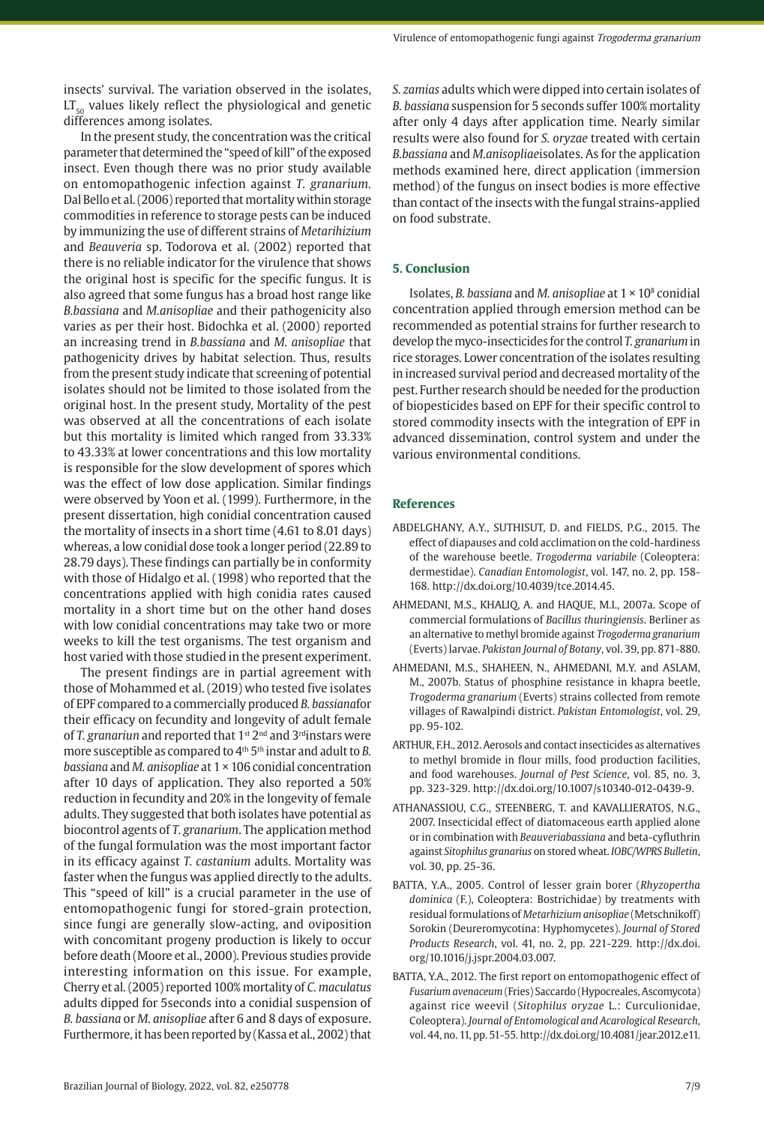insects' survival. The variation observed in the isolates,  $LT_{50}$  values likely reflect the physiological and genetic differences among isolates.

In the present study, the concentration was the critical parameter that determined the "speed of kill" of the exposed insect. Even though there was no prior study available on entomopathogenic infection against *T. granarium.* Dal Bello et al. (2006) reported that mortality within storage commodities in reference to storage pests can be induced by immunizing the use of different strains of *Metarihizium* and *Beauveria* sp. Todorova et al. (2002) reported that there is no reliable indicator for the virulence that shows the original host is specific for the specific fungus. It is also agreed that some fungus has a broad host range like *B.bassiana* and *M.anisopliae* and their pathogenicity also varies as per their host. Bidochka et al. (2000) reported an increasing trend in *B.bassiana* and *M. anisopliae* that pathogenicity drives by habitat selection. Thus, results from the present study indicate that screening of potential isolates should not be limited to those isolated from the original host. In the present study, Mortality of the pest was observed at all the concentrations of each isolate but this mortality is limited which ranged from 33.33% to 43.33% at lower concentrations and this low mortality is responsible for the slow development of spores which was the effect of low dose application. Similar findings were observed by Yoon et al. (1999). Furthermore, in the present dissertation, high conidial concentration caused the mortality of insects in a short time (4.61 to 8.01 days) whereas, a low conidial dose took a longer period (22.89 to 28.79 days). These findings can partially be in conformity with those of Hidalgo et al. (1998) who reported that the concentrations applied with high conidia rates caused mortality in a short time but on the other hand doses with low conidial concentrations may take two or more weeks to kill the test organisms. The test organism and host varied with those studied in the present experiment.

The present findings are in partial agreement with those of Mohammed et al. (2019) who tested five isolates of EPF compared to a commercially produced *B. bassiana*for their efficacy on fecundity and longevity of adult female of *T. granariun* and reported that 1<sup>st</sup> 2<sup>nd</sup> and 3<sup>rd</sup>instars were more susceptible as compared to 4<sup>th</sup> 5<sup>th</sup> instar and adult to *B*. *bassiana* and *M. anisopliae* at 1 × 106 conidial concentration after 10 days of application. They also reported a 50% reduction in fecundity and 20% in the longevity of female adults. They suggested that both isolates have potential as biocontrol agents of *T. granarium*. The application method of the fungal formulation was the most important factor in its efficacy against *T. castanium* adults. Mortality was faster when the fungus was applied directly to the adults. This "speed of kill" is a crucial parameter in the use of entomopathogenic fungi for stored-grain protection, since fungi are generally slow-acting, and oviposition with concomitant progeny production is likely to occur before death (Moore et al., 2000). Previous studies provide interesting information on this issue. For example, Cherry et al. (2005) reported 100% mortality of *C. maculatus* adults dipped for 5seconds into a conidial suspension of *B. bassiana* or *M. anisopliae* after 6 and 8 days of exposure. Furthermore, it has been reported by (Kassa et al., 2002) that *S. zamias* adults which were dipped into certain isolates of *B. bassiana* suspension for 5 seconds suffer 100% mortality after only 4 days after application time. Nearly similar results were also found for *S. oryzae* treated with certain *B.bassiana* and *M.anisopliae*isolates. As for the application methods examined here, direct application (immersion method) of the fungus on insect bodies is more effective than contact of the insects with the fungal strains-applied on food substrate.

### **5. Conclusion**

Isolates, *B. bassiana* and *M. anisopliae* at 1 × 108 conidial concentration applied through emersion method can be recommended as potential strains for further research to develop the myco-insecticides for the control *T. granarium* in rice storages. Lower concentration of the isolates resulting in increased survival period and decreased mortality of the pest. Further research should be needed for the production of biopesticides based on EPF for their specific control to stored commodity insects with the integration of EPF in advanced dissemination, control system and under the various environmental conditions.

#### **References**

- ABDELGHANY, A.Y., SUTHISUT, D. and FIELDS, P.G., 2015. The effect of diapauses and cold acclimation on the cold-hardiness of the warehouse beetle. *Trogoderma variabile* (Coleoptera: dermestidae). *Canadian Entomologist*, vol. 147, no. 2, pp. 158- 168. [http://dx.doi.org/10.4039/tce.2014.45.](https://doi.org/10.4039/tce.2014.45)
- AHMEDANI, M.S., KHALIQ, A. and HAQUE, M.I., 2007a. Scope of commercial formulations of *Bacillus thuringiensis*. Berliner as an alternative to methyl bromide against *Trogoderma granarium* (Everts) larvae. *Pakistan Journal of Botany*, vol. 39, pp. 871-880.
- AHMEDANI, M.S., SHAHEEN, N., AHMEDANI, M.Y. and ASLAM, M., 2007b. Status of phosphine resistance in khapra beetle, *Trogoderma granarium* (Everts) strains collected from remote villages of Rawalpindi district. *Pakistan Entomologist*, vol. 29, pp. 95-102.
- ARTHUR, F.H., 2012. Aerosols and contact insecticides as alternatives to methyl bromide in flour mills, food production facilities, and food warehouses. *Journal of Pest Science*, vol. 85, no. 3, pp. 323-329. [http://dx.doi.org/10.1007/s10340-012-0439-9](https://doi.org/10.1007/s10340-012-0439-9).
- ATHANASSIOU, C.G., STEENBERG, T. and KAVALLIERATOS, N.G., 2007. Insecticidal effect of diatomaceous earth applied alone or in combination with *Beauveriabassiana* and beta-cyfluthrin against *Sitophilus granarius* on stored wheat. *IOBC/WPRS Bulletin*, vol. 30, pp. 25-36.
- BATTA, Y.A., 2005. Control of lesser grain borer (*Rhyzopertha dominica* (F.), Coleoptera: Bostrichidae) by treatments with residual formulations of *Metarhizium anisopliae* (Metschnikoff) Sorokin (Deureromycotina: Hyphomycetes). *Journal of Stored Products Research*, vol. 41, no. 2, pp. 221-229. [http://dx.doi.](https://doi.org/10.1016/j.jspr.2004.03.007) [org/10.1016/j.jspr.2004.03.007.](https://doi.org/10.1016/j.jspr.2004.03.007)
- BATTA, Y.A., 2012. The first report on entomopathogenic effect of *Fusarium avenaceum* (Fries) Saccardo (Hypocreales, Ascomycota) against rice weevil (*Sitophilus oryzae* L.: Curculionidae, Coleoptera). *Journal of Entomological and Acarological Research*, vol. 44, no. 11, pp. 51-55. [http://dx.doi.org/10.4081/jear.2012.e11](https://doi.org/10.4081/jear.2012.e11).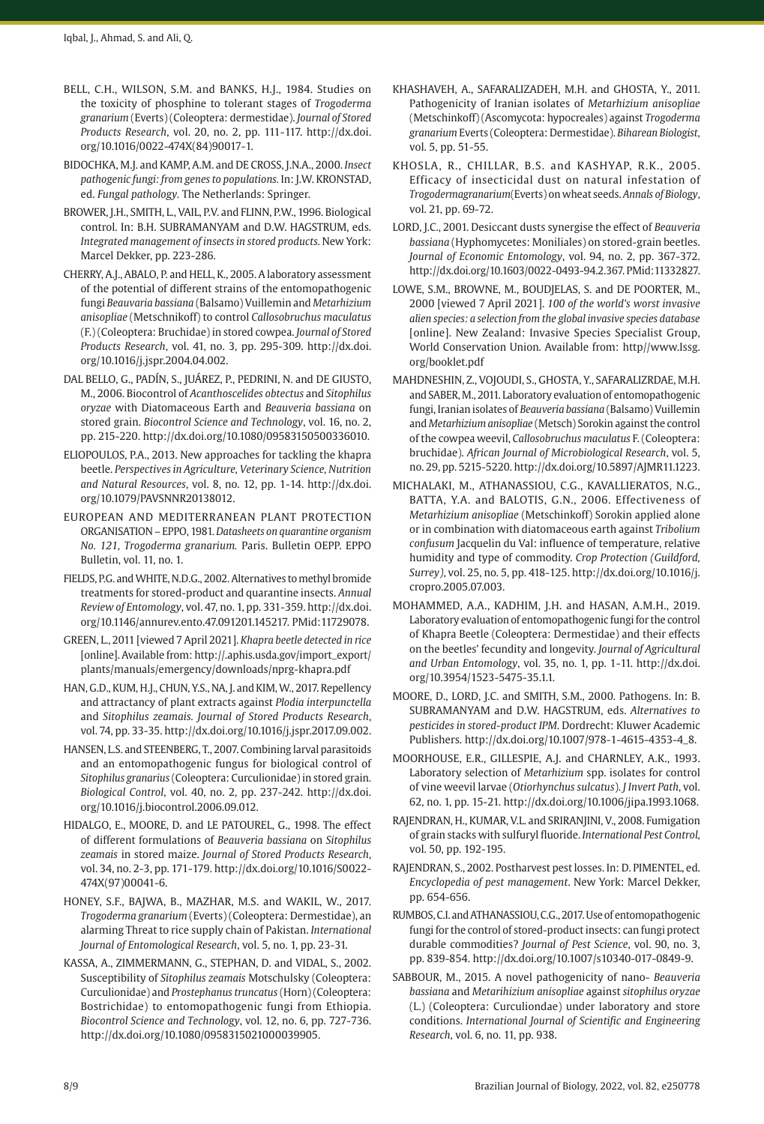- BELL, C.H., WILSON, S.M. and BANKS, H.J., 1984. Studies on the toxicity of phosphine to tolerant stages of *Trogoderma granarium* (Everts) (Coleoptera: dermestidae). *Journal of Stored Products Research*, vol. 20, no. 2, pp. 111-117. [http://dx.doi.](https://doi.org/10.1016/0022-474X(84)90017-1) [org/10.1016/0022-474X\(84\)90017-1.](https://doi.org/10.1016/0022-474X(84)90017-1)
- BIDOCHKA, M.J. and KAMP, A.M. and DE CROSS, J.N.A., 2000. *Insect pathogenic fungi: from genes to populations.* In: J.W. KRONSTAD, ed. *Fungal pathology.* The Netherlands: Springer.
- BROWER, J.H., SMITH, L., VAIL, P.V. and FLINN, P.W., 1996. Biological control. In: B.H. SUBRAMANYAM and D.W. HAGSTRUM, eds. *Integrated management of insects in stored products.* New York: Marcel Dekker, pp. 223-286.
- CHERRY, A.J., ABALO, P. and HELL, K., 2005. A laboratory assessment of the potential of different strains of the entomopathogenic fungi *Beauvaria bassiana* (Balsamo) Vuillemin and *Metarhizium anisopliae* (Metschnikoff) to control *Callosobruchus maculatus* (F.) (Coleoptera: Bruchidae) in stored cowpea. *Journal of Stored Products Research*, vol. 41, no. 3, pp. 295-309. [http://dx.doi.](https://doi.org/10.1016/j.jspr.2004.04.002) [org/10.1016/j.jspr.2004.04.002.](https://doi.org/10.1016/j.jspr.2004.04.002)
- DAL BELLO, G., PADÍN, S., JUÁREZ, P., PEDRINI, N. and DE GIUSTO, M., 2006. Biocontrol of *Acanthoscelides obtectus* and *Sitophilus oryzae* with Diatomaceous Earth and *Beauveria bassiana* on stored grain. *Biocontrol Science and Technology*, vol. 16, no. 2, pp. 215-220. [http://dx.doi.org/10.1080/09583150500336010](https://doi.org/10.1080/09583150500336010).
- ELIOPOULOS, P.A., 2013. New approaches for tackling the khapra beetle. *Perspectives in Agriculture, Veterinary Science, Nutrition and Natural Resources*, vol. 8, no. 12, pp. 1-14. [http://dx.doi.](https://doi.org/10.1079/PAVSNNR20138012) [org/10.1079/PAVSNNR20138012](https://doi.org/10.1079/PAVSNNR20138012).
- EUROPEAN AND MEDITERRANEAN PLANT PROTECTION ORGANISATION – EPPO, 1981. *Datasheets on quarantine organism No. 121, Trogoderma granarium.* Paris. Bulletin OEPP. EPPO Bulletin, vol. 11, no. 1.
- FIELDS, P.G. and WHITE, N.D.G., 2002. Alternatives to methyl bromide treatments for stored-product and quarantine insects. *Annual Review of Entomology*, vol. 47, no. 1, pp. 331-359. [http://dx.doi.](https://doi.org/10.1146/annurev.ento.47.091201.145217) [org/10.1146/annurev.ento.47.091201.145217](https://doi.org/10.1146/annurev.ento.47.091201.145217)[. PMid:11729078.](https://www.ncbi.nlm.nih.gov/entrez/query.fcgi?cmd=Retrieve&db=PubMed&list_uids=11729078&dopt=Abstract)
- GREEN, L., 2011 [viewed 7 April 2021]. *Khapra beetle detected in rice* [online]. Available from: http://.aphis.usda.gov/import\_export/ plants/manuals/emergency/downloads/nprg-khapra.pdf
- HAN, G.D., KUM, H.J., CHUN, Y.S., NA, J. and KIM, W., 2017. Repellency and attractancy of plant extracts against *Plodia interpunctella* and *Sitophilus zeamais. Journal of Stored Products Research*, vol. 74, pp. 33-35. [http://dx.doi.org/10.1016/j.jspr.2017.09.002](https://doi.org/10.1016/j.jspr.2017.09.002).
- HANSEN, L.S. and STEENBERG, T., 2007. Combining larval parasitoids and an entomopathogenic fungus for biological control of *Sitophilus granarius* (Coleoptera: Curculionidae) in stored grain. *Biological Control*, vol. 40, no. 2, pp. 237-242. [http://dx.doi.](https://doi.org/10.1016/j.biocontrol.2006.09.012) [org/10.1016/j.biocontrol.2006.09.012](https://doi.org/10.1016/j.biocontrol.2006.09.012).
- HIDALGO, E., MOORE, D. and LE PATOUREL, G., 1998. The effect of different formulations of *Beauveria bassiana* on *Sitophilus zeamais* in stored maize. *Journal of Stored Products Research*, vol. 34, no. 2-3, pp. 171-179. [http://dx.doi.org/10.1016/S0022-](https://doi.org/10.1016/S0022-474X(97)00041-6) [474X\(97\)00041-6](https://doi.org/10.1016/S0022-474X(97)00041-6).
- HONEY, S.F., BAJWA, B., MAZHAR, M.S. and WAKIL, W., 2017. *Trogoderma granarium* (Everts) (Coleoptera: Dermestidae), an alarming Threat to rice supply chain of Pakistan. *International Journal of Entomological Research*, vol. 5, no. 1, pp. 23-31.
- KASSA, A., ZIMMERMANN, G., STEPHAN, D. and VIDAL, S., 2002. Susceptibility of *Sitophilus zeamais* Motschulsky (Coleoptera: Curculionidae) and *Prostephanus truncatus* (Horn) (Coleoptera: Bostrichidae) to entomopathogenic fungi from Ethiopia. *Biocontrol Science and Technology*, vol. 12, no. 6, pp. 727-736. [http://dx.doi.org/10.1080/0958315021000039905](https://doi.org/10.1080/0958315021000039905).
- KHASHAVEH, A., SAFARALIZADEH, M.H. and GHOSTA, Y., 2011. Pathogenicity of Iranian isolates of *Metarhizium anisopliae* (Metschinkoff) (Ascomycota: hypocreales) against *Trogoderma granarium* Everts (Coleoptera: Dermestidae). *Biharean Biologist*, vol. 5, pp. 51-55.
- KHOSLA, R., CHILLAR, B.S. and KASHYAP, R.K., 2005. Efficacy of insecticidal dust on natural infestation of *Trogodermagranarium*(Everts) on wheat seeds. *Annals of Biology*, vol. 21, pp. 69-72.
- LORD, J.C., 2001. Desiccant dusts synergise the effect of *Beauveria bassiana* (Hyphomycetes: Moniliales) on stored-grain beetles. *Journal of Economic Entomology*, vol. 94, no. 2, pp. 367-372. [http://dx.doi.org/10.1603/0022-0493-94.2.367](https://doi.org/10.1603/0022-0493-94.2.367)[. PMid:11332827.](https://www.ncbi.nlm.nih.gov/entrez/query.fcgi?cmd=Retrieve&db=PubMed&list_uids=11332827&dopt=Abstract)
- LOWE, S.M., BROWNE, M., BOUDJELAS, S. and DE POORTER, M., 2000 [viewed 7 April 2021]. *100 of the world's worst invasive alien species: a selection from the global invasive species database* [online]. New Zealand: Invasive Species Specialist Group, World Conservation Union. Available from: http//www.Issg. org/booklet.pdf
- MAHDNESHIN, Z., VOJOUDI, S., GHOSTA, Y., SAFARALIZRDAE, M.H. and SABER, M., 2011. Laboratory evaluation of entomopathogenic fungi, Iranian isolates of *Beauveria bassiana* (Balsamo) Vuillemin and *Metarhizium anisopliae* (Metsch) Sorokin against the control of the cowpea weevil, *Callosobruchus maculatus* F. (Coleoptera: bruchidae). *African Journal of Microbiological Research*, vol. 5, no. 29, pp. 5215-5220. [http://dx.doi.org/10.5897/AJMR11.1223](https://doi.org/10.5897/AJMR11.1223).
- MICHALAKI, M., ATHANASSIOU, C.G., KAVALLIERATOS, N.G., BATTA, Y.A. and BALOTIS, G.N., 2006. Effectiveness of *Metarhizium anisopliae* (Metschinkoff) Sorokin applied alone or in combination with diatomaceous earth against *Tribolium confusum* Jacquelin du Val: influence of temperature, relative humidity and type of commodity. *Crop Protection (Guildford, Surrey)*, vol. 25, no. 5, pp. 418-125. [http://dx.doi.org/10.1016/j.](https://doi.org/10.1016/j.cropro.2005.07.003) [cropro.2005.07.003.](https://doi.org/10.1016/j.cropro.2005.07.003)
- MOHAMMED, A.A., KADHIM, J.H. and HASAN, A.M.H., 2019. Laboratory evaluation of entomopathogenic fungi for the control of Khapra Beetle (Coleoptera: Dermestidae) and their effects on the beetles' fecundity and longevity. *Journal of Agricultural and Urban Entomology*, vol. 35, no. 1, pp. 1-11. [http://dx.doi.](https://doi.org/10.3954/1523-5475-35.1.1) [org/10.3954/1523-5475-35.1.1](https://doi.org/10.3954/1523-5475-35.1.1).
- MOORE, D., LORD, J.C. and SMITH, S.M., 2000. Pathogens. In: B. SUBRAMANYAM and D.W. HAGSTRUM, eds. *Alternatives to pesticides in stored-product IPM*. Dordrecht: Kluwer Academic Publishers. [http://dx.doi.org/10.1007/978-1-4615-4353-4\\_8.](https://doi.org/10.1007/978-1-4615-4353-4_8)
- MOORHOUSE, E.R., GILLESPIE, A.J. and CHARNLEY, A.K., 1993. Laboratory selection of *Metarhizium* spp. isolates for control of vine weevil larvae (*Otiorhynchus sulcatus*). *J Invert Path*, vol. 62, no. 1, pp. 15-21. [http://dx.doi.org/10.1006/jipa.1993.1068](https://doi.org/10.1006/jipa.1993.1068).
- RAJENDRAN, H., KUMAR, V.L. and SRIRANJINI, V., 2008. Fumigation of grain stacks with sulfuryl fluoride. *International Pest Control*, vol. 50, pp. 192-195.
- RAJENDRAN, S., 2002. Postharvest pest losses. In: D. PIMENTEL, ed. *Encyclopedia of pest management*. New York: Marcel Dekker, pp. 654-656.
- RUMBOS, C.I. and ATHANASSIOU, C.G., 2017. Use of entomopathogenic fungi for the control of stored-product insects: can fungi protect durable commodities? *Journal of Pest Science*, vol. 90, no. 3, pp. 839-854. [http://dx.doi.org/10.1007/s10340-017-0849-9.](https://doi.org/10.1007/s10340-017-0849-9)
- SABBOUR, M., 2015. A novel pathogenicity of nano- *Beauveria bassiana* and *Metarihizium anisopliae* against *sitophilus oryzae* (L.) (Coleoptera: Curculiondae) under laboratory and store conditions. *International Journal of Scientific and Engineering Research*, vol. 6, no. 11, pp. 938.